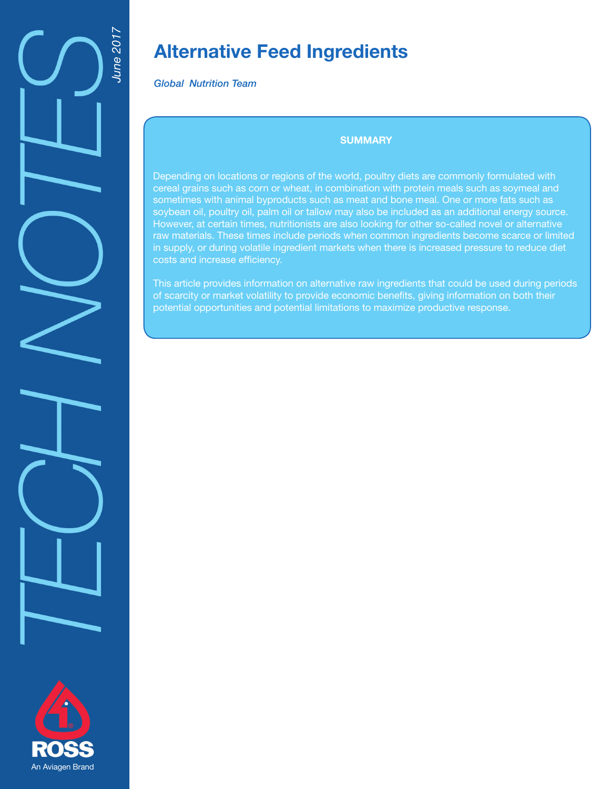

# **Alternative Feed Ingredients**

*Global Nutrition Team*

# **SUMMARY**

Depending on locations or regions of the world, poultry diets are commonly formulated with cereal grains such as corn or wheat, in combination with protein meals such as soymeal and sometimes with animal byproducts such as meat and bone meal. One or more fats such as soybean oil, poultry oil, palm oil or tallow may also be included as an additional energy source. However, at certain times, nutritionists are also looking for other so-called novel or alternative raw materials. These times include periods when common ingredients become scarce or limited in supply, or during volatile ingredient markets when there is increased pressure to reduce diet costs and increase efficiency.

This article provides information on alternative raw ingredients that could be used during periods of scarcity or market volatility to provide economic benefits, giving information on both their potential opportunities and potential limitations to maximize productive response.

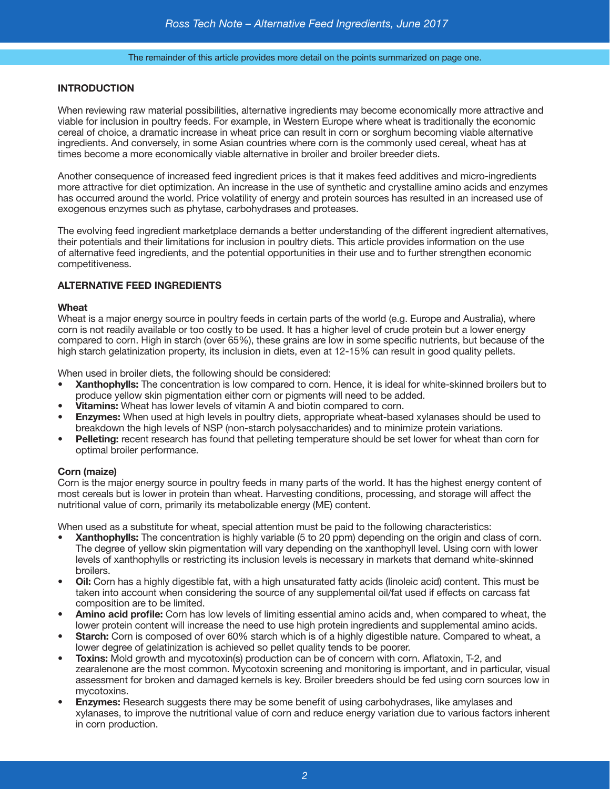The remainder of this article provides more detail on the points summarized on page one.

# **INTRODUCTION**

When reviewing raw material possibilities, alternative ingredients may become economically more attractive and viable for inclusion in poultry feeds. For example, in Western Europe where wheat is traditionally the economic cereal of choice, a dramatic increase in wheat price can result in corn or sorghum becoming viable alternative ingredients. And conversely, in some Asian countries where corn is the commonly used cereal, wheat has at times become a more economically viable alternative in broiler and broiler breeder diets.

Another consequence of increased feed ingredient prices is that it makes feed additives and micro-ingredients more attractive for diet optimization. An increase in the use of synthetic and crystalline amino acids and enzymes has occurred around the world. Price volatility of energy and protein sources has resulted in an increased use of exogenous enzymes such as phytase, carbohydrases and proteases.

The evolving feed ingredient marketplace demands a better understanding of the different ingredient alternatives, their potentials and their limitations for inclusion in poultry diets. This article provides information on the use of alternative feed ingredients, and the potential opportunities in their use and to further strengthen economic competitiveness.

# **ALTERNATIVE FEED INGREDIENTS**

#### **Wheat**

Wheat is a major energy source in poultry feeds in certain parts of the world (e.g. Europe and Australia), where corn is not readily available or too costly to be used. It has a higher level of crude protein but a lower energy compared to corn. High in starch (over 65%), these grains are low in some specific nutrients, but because of the high starch gelatinization property, its inclusion in diets, even at 12-15% can result in good quality pellets.

When used in broiler diets, the following should be considered:

- **• Xanthophylls:** The concentration is low compared to corn. Hence, it is ideal for white-skinned broilers but to produce yellow skin pigmentation either corn or pigments will need to be added.
- **• Vitamins:** Wheat has lower levels of vitamin A and biotin compared to corn.
- **• Enzymes:** When used at high levels in poultry diets, appropriate wheat-based xylanases should be used to breakdown the high levels of NSP (non-starch polysaccharides) and to minimize protein variations.
- **• Pelleting:** recent research has found that pelleting temperature should be set lower for wheat than corn for optimal broiler performance.

## **Corn (maize)**

Corn is the major energy source in poultry feeds in many parts of the world. It has the highest energy content of most cereals but is lower in protein than wheat. Harvesting conditions, processing, and storage will affect the nutritional value of corn, primarily its metabolizable energy (ME) content.

When used as a substitute for wheat, special attention must be paid to the following characteristics:

- **• Xanthophylls:** The concentration is highly variable (5 to 20 ppm) depending on the origin and class of corn. The degree of yellow skin pigmentation will vary depending on the xanthophyll level. Using corn with lower levels of xanthophylls or restricting its inclusion levels is necessary in markets that demand white-skinned broilers.
- **• Oil:** Corn has a highly digestible fat, with a high unsaturated fatty acids (linoleic acid) content. This must be taken into account when considering the source of any supplemental oil/fat used if effects on carcass fat composition are to be limited.
- **• Amino acid profile:** Corn has low levels of limiting essential amino acids and, when compared to wheat, the lower protein content will increase the need to use high protein ingredients and supplemental amino acids.
- **• Starch:** Corn is composed of over 60% starch which is of a highly digestible nature. Compared to wheat, a lower degree of gelatinization is achieved so pellet quality tends to be poorer.
- **• Toxins:** Mold growth and mycotoxin(s) production can be of concern with corn. Aflatoxin, T-2, and zearalenone are the most common. Mycotoxin screening and monitoring is important, and in particular, visual assessment for broken and damaged kernels is key. Broiler breeders should be fed using corn sources low in mycotoxins.
- **Enzymes:** Research suggests there may be some benefit of using carbohydrases, like amylases and xylanases, to improve the nutritional value of corn and reduce energy variation due to various factors inherent in corn production.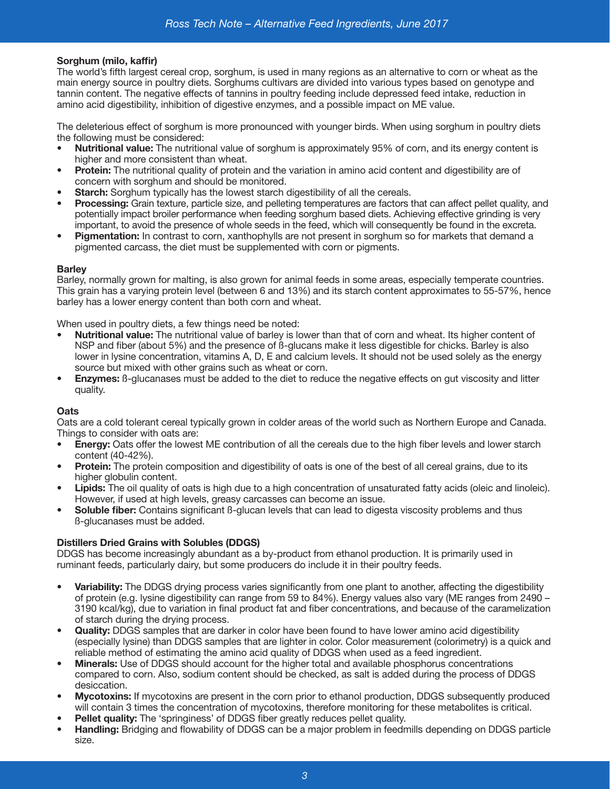# **Sorghum (milo, kaffir)**

The world's fifth largest cereal crop, sorghum, is used in many regions as an alternative to corn or wheat as the main energy source in poultry diets. Sorghums cultivars are divided into various types based on genotype and tannin content. The negative effects of tannins in poultry feeding include depressed feed intake, reduction in amino acid digestibility, inhibition of digestive enzymes, and a possible impact on ME value.

The deleterious effect of sorghum is more pronounced with younger birds. When using sorghum in poultry diets the following must be considered:

- **• Nutritional value:** The nutritional value of sorghum is approximately 95% of corn, and its energy content is higher and more consistent than wheat.
- **• Protein:** The nutritional quality of protein and the variation in amino acid content and digestibility are of concern with sorghum and should be monitored.
- **Starch:** Sorghum typically has the lowest starch digestibility of all the cereals.
- **• Processing:** Grain texture, particle size, and pelleting temperatures are factors that can affect pellet quality, and potentially impact broiler performance when feeding sorghum based diets. Achieving effective grinding is very important, to avoid the presence of whole seeds in the feed, which will consequently be found in the excreta.
- **• Pigmentation:** In contrast to corn, xanthophylls are not present in sorghum so for markets that demand a pigmented carcass, the diet must be supplemented with corn or pigments.

# **Barley**

Barley, normally grown for malting, is also grown for animal feeds in some areas, especially temperate countries. This grain has a varying protein level (between 6 and 13%) and its starch content approximates to 55-57%, hence barley has a lower energy content than both corn and wheat.

When used in poultry diets, a few things need be noted:

- **• Nutritional value:** The nutritional value of barley is lower than that of corn and wheat. Its higher content of NSP and fiber (about 5%) and the presence of ß-glucans make it less digestible for chicks. Barley is also lower in lysine concentration, vitamins A, D, E and calcium levels. It should not be used solely as the energy source but mixed with other grains such as wheat or corn.
- **• Enzymes:** ß-glucanases must be added to the diet to reduce the negative effects on gut viscosity and litter quality.

## **Oats**

Oats are a cold tolerant cereal typically grown in colder areas of the world such as Northern Europe and Canada. Things to consider with oats are:

- **• Energy:** Oats offer the lowest ME contribution of all the cereals due to the high fiber levels and lower starch content (40-42%).
- **• Protein:** The protein composition and digestibility of oats is one of the best of all cereal grains, due to its higher globulin content.
- **• Lipids:** The oil quality of oats is high due to a high concentration of unsaturated fatty acids (oleic and linoleic). However, if used at high levels, greasy carcasses can become an issue.
- **• Soluble fiber:** Contains significant ß-glucan levels that can lead to digesta viscosity problems and thus ß-glucanases must be added.

## **Distillers Dried Grains with Solubles (DDGS)**

DDGS has become increasingly abundant as a by-product from ethanol production. It is primarily used in ruminant feeds, particularly dairy, but some producers do include it in their poultry feeds.

- **• Variability:** The DDGS drying process varies significantly from one plant to another, affecting the digestibility of protein (e.g. lysine digestibility can range from 59 to 84%). Energy values also vary (ME ranges from 2490 – 3190 kcal/kg), due to variation in final product fat and fiber concentrations, and because of the caramelization of starch during the drying process.
- **• Quality:** DDGS samples that are darker in color have been found to have lower amino acid digestibility (especially lysine) than DDGS samples that are lighter in color. Color measurement (colorimetry) is a quick and reliable method of estimating the amino acid quality of DDGS when used as a feed ingredient.
- **• Minerals:** Use of DDGS should account for the higher total and available phosphorus concentrations compared to corn. Also, sodium content should be checked, as salt is added during the process of DDGS desiccation.
- **• Mycotoxins:** If mycotoxins are present in the corn prior to ethanol production, DDGS subsequently produced will contain 3 times the concentration of mycotoxins, therefore monitoring for these metabolites is critical.
- **• Pellet quality:** The 'springiness' of DDGS fiber greatly reduces pellet quality.
- **• Handling:** Bridging and flowability of DDGS can be a major problem in feedmills depending on DDGS particle size.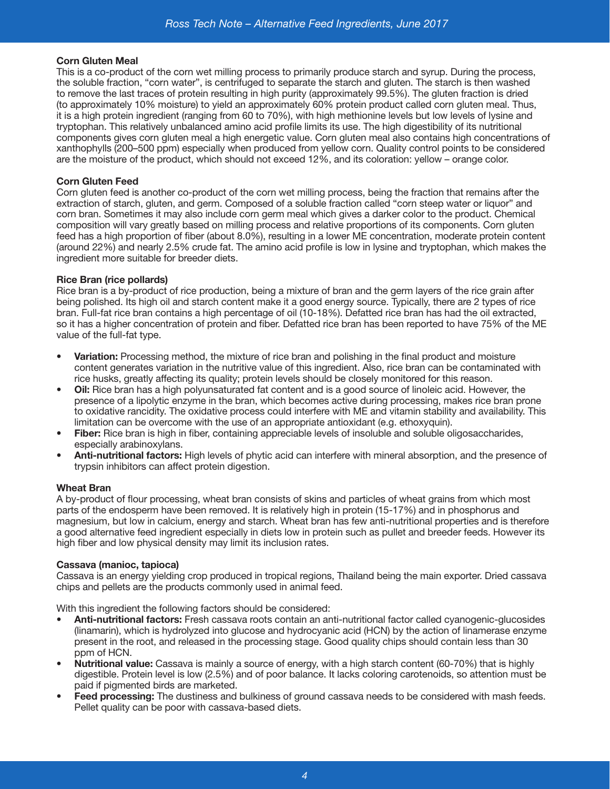# **Corn Gluten Meal**

This is a co-product of the corn wet milling process to primarily produce starch and syrup. During the process, the soluble fraction, "corn water", is centrifuged to separate the starch and gluten. The starch is then washed to remove the last traces of protein resulting in high purity (approximately 99.5%). The gluten fraction is dried (to approximately 10% moisture) to yield an approximately 60% protein product called corn gluten meal. Thus, it is a high protein ingredient (ranging from 60 to 70%), with high methionine levels but low levels of lysine and tryptophan. This relatively unbalanced amino acid profile limits its use. The high digestibility of its nutritional components gives corn gluten meal a high energetic value. Corn gluten meal also contains high concentrations of xanthophylls (200–500 ppm) especially when produced from yellow corn. Quality control points to be considered are the moisture of the product, which should not exceed 12%, and its coloration: yellow – orange color.

# **Corn Gluten Feed**

Corn gluten feed is another co-product of the corn wet milling process, being the fraction that remains after the extraction of starch, gluten, and germ. Composed of a soluble fraction called "corn steep water or liquor" and corn bran. Sometimes it may also include corn germ meal which gives a darker color to the product. Chemical composition will vary greatly based on milling process and relative proportions of its components. Corn gluten feed has a high proportion of fiber (about 8.0%), resulting in a lower ME concentration, moderate protein content (around 22%) and nearly 2.5% crude fat. The amino acid profile is low in lysine and tryptophan, which makes the ingredient more suitable for breeder diets.

# **Rice Bran (rice pollards)**

Rice bran is a by-product of rice production, being a mixture of bran and the germ layers of the rice grain after being polished. Its high oil and starch content make it a good energy source. Typically, there are 2 types of rice bran. Full-fat rice bran contains a high percentage of oil (10-18%). Defatted rice bran has had the oil extracted, so it has a higher concentration of protein and fiber. Defatted rice bran has been reported to have 75% of the ME value of the full-fat type.

- **• Variation:** Processing method, the mixture of rice bran and polishing in the final product and moisture content generates variation in the nutritive value of this ingredient. Also, rice bran can be contaminated with rice husks, greatly affecting its quality; protein levels should be closely monitored for this reason.
- **Oil:** Rice bran has a high polyunsaturated fat content and is a good source of linoleic acid. However, the presence of a lipolytic enzyme in the bran, which becomes active during processing, makes rice bran prone to oxidative rancidity. The oxidative process could interfere with ME and vitamin stability and availability. This limitation can be overcome with the use of an appropriate antioxidant (e.g. ethoxyquin).
- **• Fiber:** Rice bran is high in fiber, containing appreciable levels of insoluble and soluble oligosaccharides, especially arabinoxylans.
- **• Anti-nutritional factors:** High levels of phytic acid can interfere with mineral absorption, and the presence of trypsin inhibitors can affect protein digestion.

## **Wheat Bran**

A by-product of flour processing, wheat bran consists of skins and particles of wheat grains from which most parts of the endosperm have been removed. It is relatively high in protein (15-17%) and in phosphorus and magnesium, but low in calcium, energy and starch. Wheat bran has few anti-nutritional properties and is therefore a good alternative feed ingredient especially in diets low in protein such as pullet and breeder feeds. However its high fiber and low physical density may limit its inclusion rates.

## **Cassava (manioc, tapioca)**

Cassava is an energy yielding crop produced in tropical regions, Thailand being the main exporter. Dried cassava chips and pellets are the products commonly used in animal feed.

With this ingredient the following factors should be considered:

- **• Anti-nutritional factors:** Fresh cassava roots contain an anti-nutritional factor called cyanogenic-glucosides (linamarin), which is hydrolyzed into glucose and hydrocyanic acid (HCN) by the action of linamerase enzyme present in the root, and released in the processing stage. Good quality chips should contain less than 30 ppm of HCN.
- **• Nutritional value:** Cassava is mainly a source of energy, with a high starch content (60-70%) that is highly digestible. Protein level is low (2.5%) and of poor balance. It lacks coloring carotenoids, so attention must be paid if pigmented birds are marketed.
- **• Feed processing:** The dustiness and bulkiness of ground cassava needs to be considered with mash feeds. Pellet quality can be poor with cassava-based diets.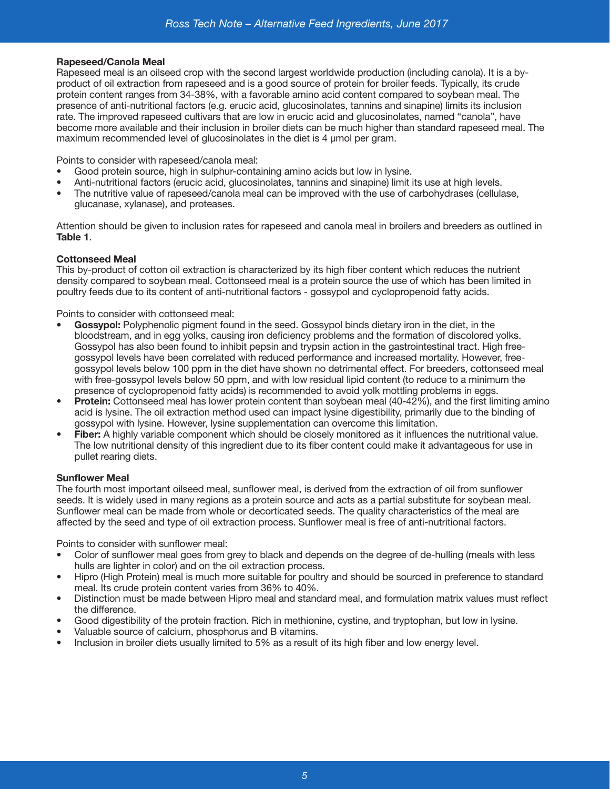## **Rapeseed/Canola Meal**

Rapeseed meal is an oilseed crop with the second largest worldwide production (including canola). It is a byproduct of oil extraction from rapeseed and is a good source of protein for broiler feeds. Typically, its crude protein content ranges from 34-38%, with a favorable amino acid content compared to soybean meal. The presence of anti-nutritional factors (e.g. erucic acid, glucosinolates, tannins and sinapine) limits its inclusion rate. The improved rapeseed cultivars that are low in erucic acid and glucosinolates, named "canola", have become more available and their inclusion in broiler diets can be much higher than standard rapeseed meal. The maximum recommended level of glucosinolates in the diet is 4 μmol per gram.

Points to consider with rapeseed/canola meal:

- Good protein source, high in sulphur-containing amino acids but low in lysine.
- Anti-nutritional factors (erucic acid, glucosinolates, tannins and sinapine) limit its use at high levels.
- The nutritive value of rapeseed/canola meal can be improved with the use of carbohydrases (cellulase, glucanase, xylanase), and proteases.

Attention should be given to inclusion rates for rapeseed and canola meal in broilers and breeders as outlined in **Table 1**.

## **Cottonseed Meal**

This by-product of cotton oil extraction is characterized by its high fiber content which reduces the nutrient density compared to soybean meal. Cottonseed meal is a protein source the use of which has been limited in poultry feeds due to its content of anti-nutritional factors - gossypol and cyclopropenoid fatty acids.

Points to consider with cottonseed meal:

- **• Gossypol:** Polyphenolic pigment found in the seed. Gossypol binds dietary iron in the diet, in the bloodstream, and in egg yolks, causing iron deficiency problems and the formation of discolored yolks. Gossypol has also been found to inhibit pepsin and trypsin action in the gastrointestinal tract. High freegossypol levels have been correlated with reduced performance and increased mortality. However, freegossypol levels below 100 ppm in the diet have shown no detrimental effect. For breeders, cottonseed meal with free-gossypol levels below 50 ppm, and with low residual lipid content (to reduce to a minimum the presence of cyclopropenoid fatty acids) is recommended to avoid yolk mottling problems in eggs.
- **• Protein:** Cottonseed meal has lower protein content than soybean meal (40-42%), and the first limiting amino acid is lysine. The oil extraction method used can impact lysine digestibility, primarily due to the binding of gossypol with lysine. However, lysine supplementation can overcome this limitation.
- **• Fiber:** A highly variable component which should be closely monitored as it influences the nutritional value. The low nutritional density of this ingredient due to its fiber content could make it advantageous for use in pullet rearing diets.

## **Sunflower Meal**

The fourth most important oilseed meal, sunflower meal, is derived from the extraction of oil from sunflower seeds. It is widely used in many regions as a protein source and acts as a partial substitute for soybean meal. Sunflower meal can be made from whole or decorticated seeds. The quality characteristics of the meal are affected by the seed and type of oil extraction process. Sunflower meal is free of anti-nutritional factors.

Points to consider with sunflower meal:

- Color of sunflower meal goes from grey to black and depends on the degree of de-hulling (meals with less hulls are lighter in color) and on the oil extraction process.
- Hipro (High Protein) meal is much more suitable for poultry and should be sourced in preference to standard meal. Its crude protein content varies from 36% to 40%.
- Distinction must be made between Hipro meal and standard meal, and formulation matrix values must reflect the difference.
- Good digestibility of the protein fraction. Rich in methionine, cystine, and tryptophan, but low in lysine.
- Valuable source of calcium, phosphorus and B vitamins.
- Inclusion in broiler diets usually limited to 5% as a result of its high fiber and low energy level.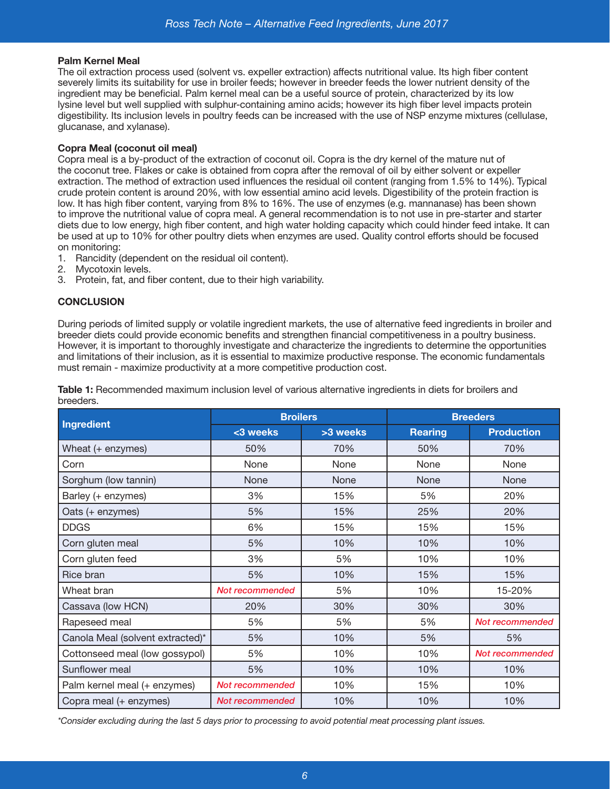# **Palm Kernel Meal**

The oil extraction process used (solvent vs. expeller extraction) affects nutritional value. Its high fiber content severely limits its suitability for use in broiler feeds; however in breeder feeds the lower nutrient density of the ingredient may be beneficial. Palm kernel meal can be a useful source of protein, characterized by its low lysine level but well supplied with sulphur-containing amino acids; however its high fiber level impacts protein digestibility. Its inclusion levels in poultry feeds can be increased with the use of NSP enzyme mixtures (cellulase, glucanase, and xylanase).

# **Copra Meal (coconut oil meal)**

Copra meal is a by-product of the extraction of coconut oil. Copra is the dry kernel of the mature nut of the coconut tree. Flakes or cake is obtained from copra after the removal of oil by either solvent or expeller extraction. The method of extraction used influences the residual oil content (ranging from 1.5% to 14%). Typical crude protein content is around 20%, with low essential amino acid levels. Digestibility of the protein fraction is low. It has high fiber content, varying from 8% to 16%. The use of enzymes (e.g. mannanase) has been shown to improve the nutritional value of copra meal. A general recommendation is to not use in pre-starter and starter diets due to low energy, high fiber content, and high water holding capacity which could hinder feed intake. It can be used at up to 10% for other poultry diets when enzymes are used. Quality control efforts should be focused on monitoring:

- 1. Rancidity (dependent on the residual oil content).
- 2. Mycotoxin levels.
- 3. Protein, fat, and fiber content, due to their high variability.

# **CONCLUSION**

During periods of limited supply or volatile ingredient markets, the use of alternative feed ingredients in broiler and breeder diets could provide economic benefits and strengthen financial competitiveness in a poultry business. However, it is important to thoroughly investigate and characterize the ingredients to determine the opportunities and limitations of their inclusion, as it is essential to maximize productive response. The economic fundamentals must remain - maximize productivity at a more competitive production cost.

**Ingredient Broilers Breeders**  $\leq$  3 weeks **Rearting Production** Wheat (+ enzymes)  $\vert$  50%  $\vert$  70%  $\vert$  50%  $\vert$  70% Corn None None None None Sorghum (low tannin)  $\blacksquare$  None  $\blacksquare$  None None None None Barley (+ enzymes) 3% 15% 5% 20% Oats (+ enzymes) 5% 15% 25% 20% DDGS 6% 15% 15% 15% Corn gluten meal 5% 10% 10% 10% Corn gluten feed 3% 5% 10% 10% Rice bran 5% 10% 15% 15% Wheat bran **15-20% Not recommended** 15-20 10% 15-20% Cassava (low HCN) 20% 30% 30% 30% Rapeseed meal 5% 5% 5% *Not recommended* Canola Meal (solvent extracted)\* 5% 10% 5% 5% Cottonseed meal (low gossypol) 5% 10% 10% *Not recommended* Sunflower meal **10%** 10% 10% 10% 10% 10% Palm kernel meal (+ enzymes) **Not recommended** 10% 15% 15% 10% Copra meal (+ enzymes) *Not recommended* 10% 10% 10%

**Table 1:** Recommended maximum inclusion level of various alternative ingredients in diets for broilers and breeders.

*\*Consider excluding during the last 5 days prior to processing to avoid potential meat processing plant issues.*